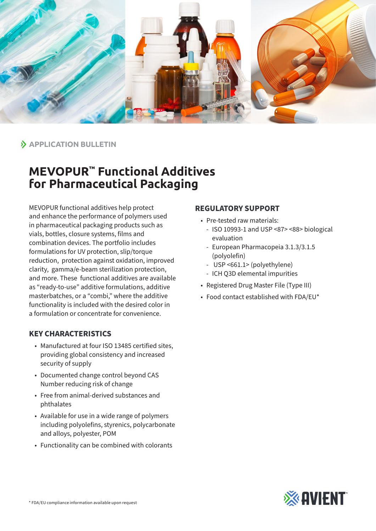

 $\lambda$  **APPLICATION BULLETIN** 

## **MEVOPUR™ Functional Additives for Pharmaceutical Packaging**

MEVOPUR functional additives help protect and enhance the performance of polymers used in pharmaceutical packaging products such as vials, bottles, closure systems, films and combination devices. The portfolio includes formulations for UV protection, slip/torque reduction, protection against oxidation, improved clarity, gamma/e-beam sterilization protection, and more. These functional additives are available as "ready-to-use" additive formulations, additive masterbatches, or a "combi," where the additive functionality is included with the desired color in a formulation or concentrate for convenience.

## **KEY CHARACTERISTICS**

- Manufactured at four ISO 13485 certified sites, providing global consistency and increased security of supply
- Documented change control beyond CAS Number reducing risk of change
- Free from animal-derived substances and phthalates
- Available for use in a wide range of polymers including polyolefins, styrenics, polycarbonate and alloys, polyester, POM
- Functionality can be combined with colorants

## **REGULATORY SUPPORT**

- Pre-tested raw materials:
	- ISO 10993-1 and USP <87> <88> biological evaluation
	- European Pharmacopeia 3.1.3/3.1.5 (polyolefin)
	- USP <661.1> (polyethylene)
	- ICH Q3D elemental impurities
- Registered Drug Master File (Type III)
- Food contact established with FDA/EU\*